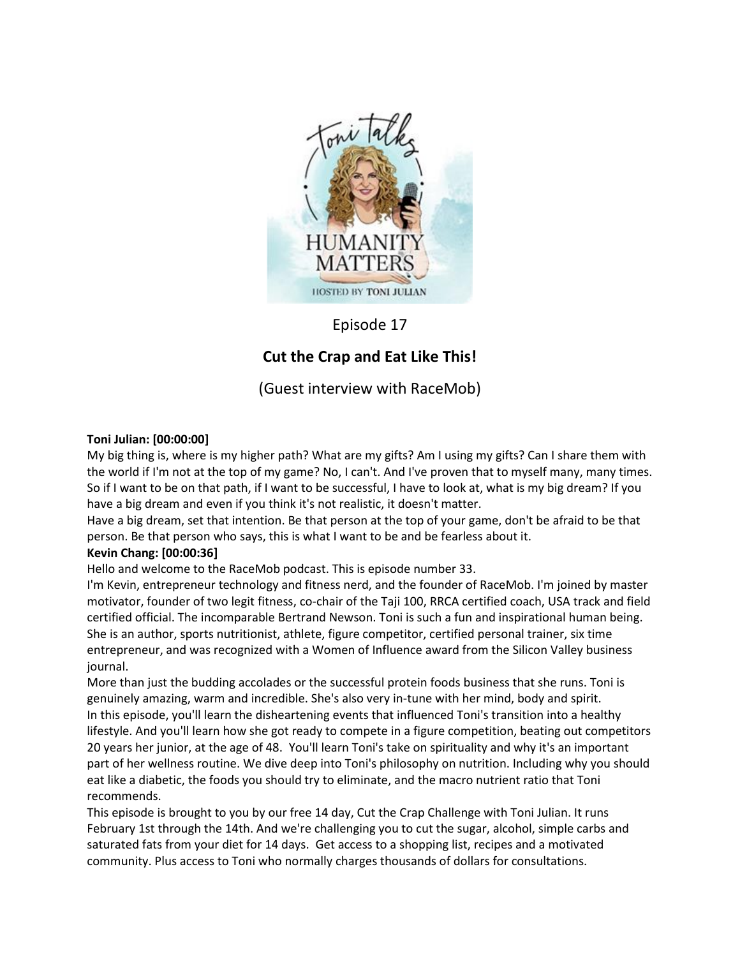

Episode 17

# **Cut the Crap and Eat Like This!**

(Guest interview with RaceMob)

# **Toni Julian: [00:00:00]**

My big thing is, where is my higher path? What are my gifts? Am I using my gifts? Can I share them with the world if I'm not at the top of my game? No, I can't. And I've proven that to myself many, many times. So if I want to be on that path, if I want to be successful, I have to look at, what is my big dream? If you have a big dream and even if you think it's not realistic, it doesn't matter.

Have a big dream, set that intention. Be that person at the top of your game, don't be afraid to be that person. Be that person who says, this is what I want to be and be fearless about it.

# **Kevin Chang: [00:00:36]**

Hello and welcome to the RaceMob podcast. This is episode number 33.

I'm Kevin, entrepreneur technology and fitness nerd, and the founder of RaceMob. I'm joined by master motivator, founder of two legit fitness, co-chair of the Taji 100, RRCA certified coach, USA track and field certified official. The incomparable Bertrand Newson. Toni is such a fun and inspirational human being. She is an author, sports nutritionist, athlete, figure competitor, certified personal trainer, six time entrepreneur, and was recognized with a Women of Influence award from the Silicon Valley business journal.

More than just the budding accolades or the successful protein foods business that she runs. Toni is genuinely amazing, warm and incredible. She's also very in-tune with her mind, body and spirit. In this episode, you'll learn the disheartening events that influenced Toni's transition into a healthy lifestyle. And you'll learn how she got ready to compete in a figure competition, beating out competitors 20 years her junior, at the age of 48. You'll learn Toni's take on spirituality and why it's an important part of her wellness routine. We dive deep into Toni's philosophy on nutrition. Including why you should eat like a diabetic, the foods you should try to eliminate, and the macro nutrient ratio that Toni recommends.

This episode is brought to you by our free 14 day, Cut the Crap Challenge with Toni Julian. It runs February 1st through the 14th. And we're challenging you to cut the sugar, alcohol, simple carbs and saturated fats from your diet for 14 days. Get access to a shopping list, recipes and a motivated community. Plus access to Toni who normally charges thousands of dollars for consultations.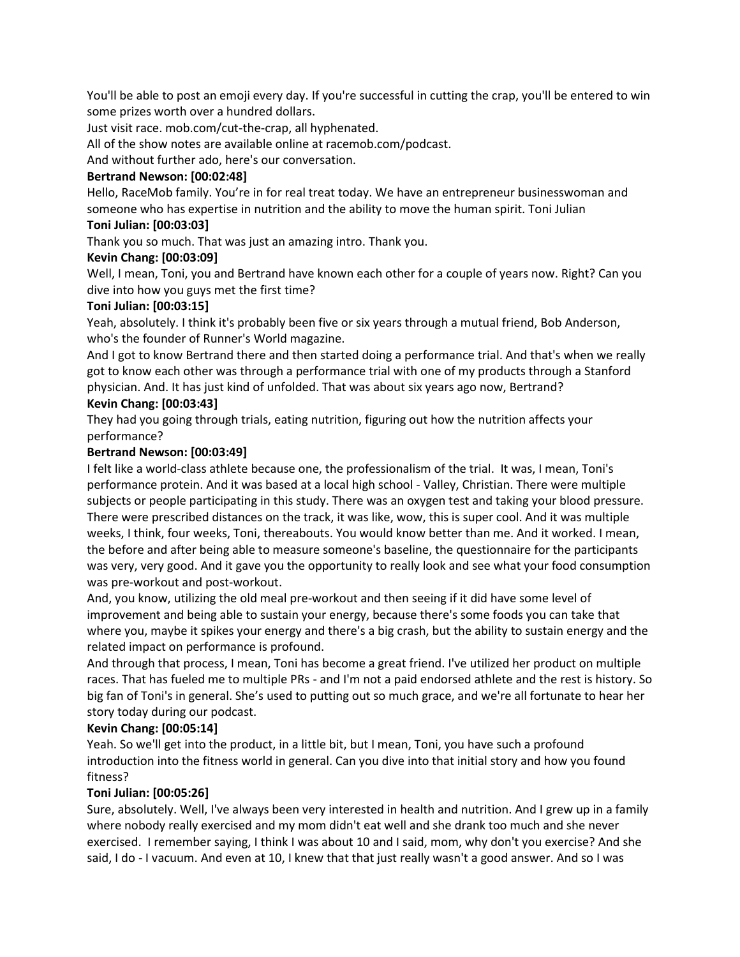You'll be able to post an emoji every day. If you're successful in cutting the crap, you'll be entered to win some prizes worth over a hundred dollars.

Just visit race. mob.com/cut-the-crap, all hyphenated.

All of the show notes are available online at racemob.com/podcast.

And without further ado, here's our conversation.

# **Bertrand Newson: [00:02:48]**

Hello, RaceMob family. You're in for real treat today. We have an entrepreneur businesswoman and someone who has expertise in nutrition and the ability to move the human spirit. Toni Julian

# **Toni Julian: [00:03:03]**

Thank you so much. That was just an amazing intro. Thank you.

# **Kevin Chang: [00:03:09]**

Well, I mean, Toni, you and Bertrand have known each other for a couple of years now. Right? Can you dive into how you guys met the first time?

# **Toni Julian: [00:03:15]**

Yeah, absolutely. I think it's probably been five or six years through a mutual friend, Bob Anderson, who's the founder of Runner's World magazine.

And I got to know Bertrand there and then started doing a performance trial. And that's when we really got to know each other was through a performance trial with one of my products through a Stanford physician. And. It has just kind of unfolded. That was about six years ago now, Bertrand?

# **Kevin Chang: [00:03:43]**

They had you going through trials, eating nutrition, figuring out how the nutrition affects your performance?

# **Bertrand Newson: [00:03:49]**

I felt like a world-class athlete because one, the professionalism of the trial. It was, I mean, Toni's performance protein. And it was based at a local high school - Valley, Christian. There were multiple subjects or people participating in this study. There was an oxygen test and taking your blood pressure. There were prescribed distances on the track, it was like, wow, this is super cool. And it was multiple weeks, I think, four weeks, Toni, thereabouts. You would know better than me. And it worked. I mean, the before and after being able to measure someone's baseline, the questionnaire for the participants was very, very good. And it gave you the opportunity to really look and see what your food consumption was pre-workout and post-workout.

And, you know, utilizing the old meal pre-workout and then seeing if it did have some level of improvement and being able to sustain your energy, because there's some foods you can take that where you, maybe it spikes your energy and there's a big crash, but the ability to sustain energy and the related impact on performance is profound.

And through that process, I mean, Toni has become a great friend. I've utilized her product on multiple races. That has fueled me to multiple PRs - and I'm not a paid endorsed athlete and the rest is history. So big fan of Toni's in general. She's used to putting out so much grace, and we're all fortunate to hear her story today during our podcast.

# **Kevin Chang: [00:05:14]**

Yeah. So we'll get into the product, in a little bit, but I mean, Toni, you have such a profound introduction into the fitness world in general. Can you dive into that initial story and how you found fitness?

# **Toni Julian: [00:05:26]**

Sure, absolutely. Well, I've always been very interested in health and nutrition. And I grew up in a family where nobody really exercised and my mom didn't eat well and she drank too much and she never exercised. I remember saying, I think I was about 10 and I said, mom, why don't you exercise? And she said, I do - I vacuum. And even at 10, I knew that that just really wasn't a good answer. And so I was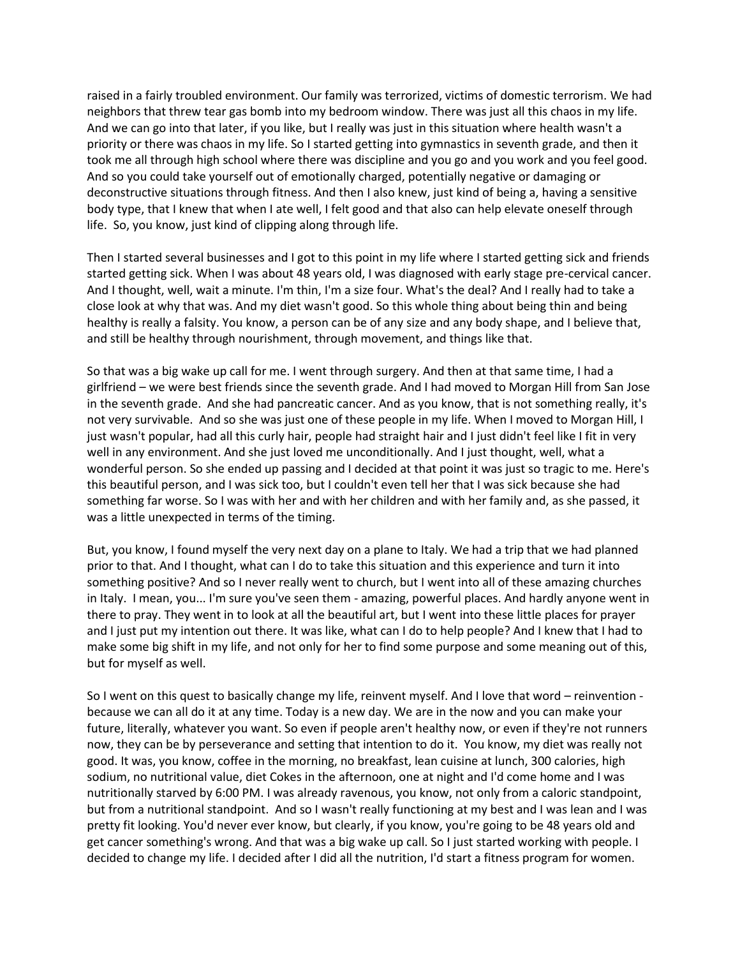raised in a fairly troubled environment. Our family was terrorized, victims of domestic terrorism. We had neighbors that threw tear gas bomb into my bedroom window. There was just all this chaos in my life. And we can go into that later, if you like, but I really was just in this situation where health wasn't a priority or there was chaos in my life. So I started getting into gymnastics in seventh grade, and then it took me all through high school where there was discipline and you go and you work and you feel good. And so you could take yourself out of emotionally charged, potentially negative or damaging or deconstructive situations through fitness. And then I also knew, just kind of being a, having a sensitive body type, that I knew that when I ate well, I felt good and that also can help elevate oneself through life. So, you know, just kind of clipping along through life.

Then I started several businesses and I got to this point in my life where I started getting sick and friends started getting sick. When I was about 48 years old, I was diagnosed with early stage pre-cervical cancer. And I thought, well, wait a minute. I'm thin, I'm a size four. What's the deal? And I really had to take a close look at why that was. And my diet wasn't good. So this whole thing about being thin and being healthy is really a falsity. You know, a person can be of any size and any body shape, and I believe that, and still be healthy through nourishment, through movement, and things like that.

So that was a big wake up call for me. I went through surgery. And then at that same time, I had a girlfriend – we were best friends since the seventh grade. And I had moved to Morgan Hill from San Jose in the seventh grade. And she had pancreatic cancer. And as you know, that is not something really, it's not very survivable. And so she was just one of these people in my life. When I moved to Morgan Hill, I just wasn't popular, had all this curly hair, people had straight hair and I just didn't feel like I fit in very well in any environment. And she just loved me unconditionally. And I just thought, well, what a wonderful person. So she ended up passing and I decided at that point it was just so tragic to me. Here's this beautiful person, and I was sick too, but I couldn't even tell her that I was sick because she had something far worse. So I was with her and with her children and with her family and, as she passed, it was a little unexpected in terms of the timing.

But, you know, I found myself the very next day on a plane to Italy. We had a trip that we had planned prior to that. And I thought, what can I do to take this situation and this experience and turn it into something positive? And so I never really went to church, but I went into all of these amazing churches in Italy. I mean, you... I'm sure you've seen them - amazing, powerful places. And hardly anyone went in there to pray. They went in to look at all the beautiful art, but I went into these little places for prayer and I just put my intention out there. It was like, what can I do to help people? And I knew that I had to make some big shift in my life, and not only for her to find some purpose and some meaning out of this, but for myself as well.

So I went on this quest to basically change my life, reinvent myself. And I love that word – reinvention because we can all do it at any time. Today is a new day. We are in the now and you can make your future, literally, whatever you want. So even if people aren't healthy now, or even if they're not runners now, they can be by perseverance and setting that intention to do it. You know, my diet was really not good. It was, you know, coffee in the morning, no breakfast, lean cuisine at lunch, 300 calories, high sodium, no nutritional value, diet Cokes in the afternoon, one at night and I'd come home and I was nutritionally starved by 6:00 PM. I was already ravenous, you know, not only from a caloric standpoint, but from a nutritional standpoint. And so I wasn't really functioning at my best and I was lean and I was pretty fit looking. You'd never ever know, but clearly, if you know, you're going to be 48 years old and get cancer something's wrong. And that was a big wake up call. So I just started working with people. I decided to change my life. I decided after I did all the nutrition, I'd start a fitness program for women.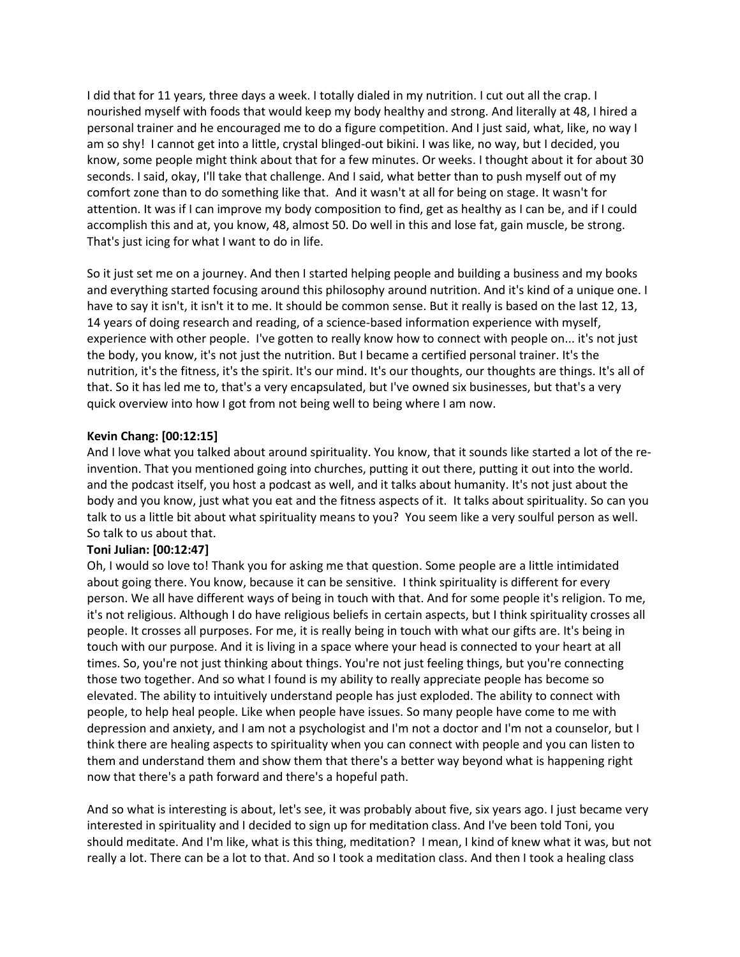I did that for 11 years, three days a week. I totally dialed in my nutrition. I cut out all the crap. I nourished myself with foods that would keep my body healthy and strong. And literally at 48, I hired a personal trainer and he encouraged me to do a figure competition. And I just said, what, like, no way I am so shy! I cannot get into a little, crystal blinged-out bikini. I was like, no way, but I decided, you know, some people might think about that for a few minutes. Or weeks. I thought about it for about 30 seconds. I said, okay, I'll take that challenge. And I said, what better than to push myself out of my comfort zone than to do something like that. And it wasn't at all for being on stage. It wasn't for attention. It was if I can improve my body composition to find, get as healthy as I can be, and if I could accomplish this and at, you know, 48, almost 50. Do well in this and lose fat, gain muscle, be strong. That's just icing for what I want to do in life.

So it just set me on a journey. And then I started helping people and building a business and my books and everything started focusing around this philosophy around nutrition. And it's kind of a unique one. I have to say it isn't, it isn't it to me. It should be common sense. But it really is based on the last 12, 13, 14 years of doing research and reading, of a science-based information experience with myself, experience with other people. I've gotten to really know how to connect with people on... it's not just the body, you know, it's not just the nutrition. But I became a certified personal trainer. It's the nutrition, it's the fitness, it's the spirit. It's our mind. It's our thoughts, our thoughts are things. It's all of that. So it has led me to, that's a very encapsulated, but I've owned six businesses, but that's a very quick overview into how I got from not being well to being where I am now.

#### **Kevin Chang: [00:12:15]**

And I love what you talked about around spirituality. You know, that it sounds like started a lot of the reinvention. That you mentioned going into churches, putting it out there, putting it out into the world. and the podcast itself, you host a podcast as well, and it talks about humanity. It's not just about the body and you know, just what you eat and the fitness aspects of it. It talks about spirituality. So can you talk to us a little bit about what spirituality means to you? You seem like a very soulful person as well. So talk to us about that.

#### **Toni Julian: [00:12:47]**

Oh, I would so love to! Thank you for asking me that question. Some people are a little intimidated about going there. You know, because it can be sensitive. I think spirituality is different for every person. We all have different ways of being in touch with that. And for some people it's religion. To me, it's not religious. Although I do have religious beliefs in certain aspects, but I think spirituality crosses all people. It crosses all purposes. For me, it is really being in touch with what our gifts are. It's being in touch with our purpose. And it is living in a space where your head is connected to your heart at all times. So, you're not just thinking about things. You're not just feeling things, but you're connecting those two together. And so what I found is my ability to really appreciate people has become so elevated. The ability to intuitively understand people has just exploded. The ability to connect with people, to help heal people. Like when people have issues. So many people have come to me with depression and anxiety, and I am not a psychologist and I'm not a doctor and I'm not a counselor, but I think there are healing aspects to spirituality when you can connect with people and you can listen to them and understand them and show them that there's a better way beyond what is happening right now that there's a path forward and there's a hopeful path.

And so what is interesting is about, let's see, it was probably about five, six years ago. I just became very interested in spirituality and I decided to sign up for meditation class. And I've been told Toni, you should meditate. And I'm like, what is this thing, meditation? I mean, I kind of knew what it was, but not really a lot. There can be a lot to that. And so I took a meditation class. And then I took a healing class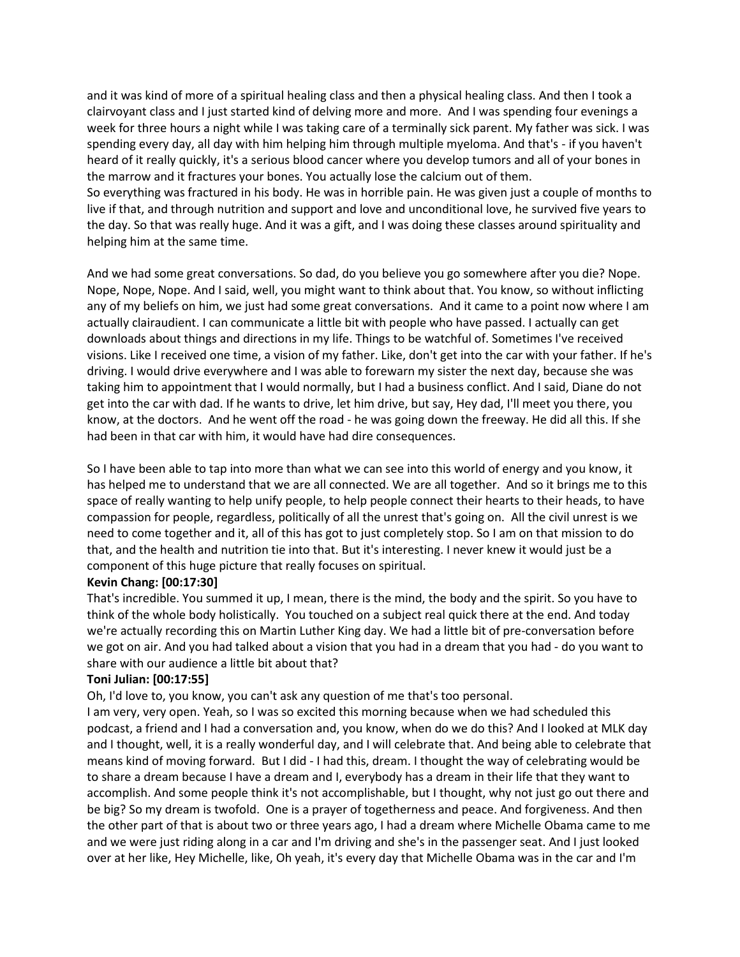and it was kind of more of a spiritual healing class and then a physical healing class. And then I took a clairvoyant class and I just started kind of delving more and more. And I was spending four evenings a week for three hours a night while I was taking care of a terminally sick parent. My father was sick. I was spending every day, all day with him helping him through multiple myeloma. And that's - if you haven't heard of it really quickly, it's a serious blood cancer where you develop tumors and all of your bones in the marrow and it fractures your bones. You actually lose the calcium out of them. So everything was fractured in his body. He was in horrible pain. He was given just a couple of months to live if that, and through nutrition and support and love and unconditional love, he survived five years to the day. So that was really huge. And it was a gift, and I was doing these classes around spirituality and

helping him at the same time.

And we had some great conversations. So dad, do you believe you go somewhere after you die? Nope. Nope, Nope, Nope. And I said, well, you might want to think about that. You know, so without inflicting any of my beliefs on him, we just had some great conversations. And it came to a point now where I am actually clairaudient. I can communicate a little bit with people who have passed. I actually can get downloads about things and directions in my life. Things to be watchful of. Sometimes I've received visions. Like I received one time, a vision of my father. Like, don't get into the car with your father. If he's driving. I would drive everywhere and I was able to forewarn my sister the next day, because she was taking him to appointment that I would normally, but I had a business conflict. And I said, Diane do not get into the car with dad. If he wants to drive, let him drive, but say, Hey dad, I'll meet you there, you know, at the doctors. And he went off the road - he was going down the freeway. He did all this. If she had been in that car with him, it would have had dire consequences.

So I have been able to tap into more than what we can see into this world of energy and you know, it has helped me to understand that we are all connected. We are all together. And so it brings me to this space of really wanting to help unify people, to help people connect their hearts to their heads, to have compassion for people, regardless, politically of all the unrest that's going on. All the civil unrest is we need to come together and it, all of this has got to just completely stop. So I am on that mission to do that, and the health and nutrition tie into that. But it's interesting. I never knew it would just be a component of this huge picture that really focuses on spiritual.

#### **Kevin Chang: [00:17:30]**

That's incredible. You summed it up, I mean, there is the mind, the body and the spirit. So you have to think of the whole body holistically. You touched on a subject real quick there at the end. And today we're actually recording this on Martin Luther King day. We had a little bit of pre-conversation before we got on air. And you had talked about a vision that you had in a dream that you had - do you want to share with our audience a little bit about that?

#### **Toni Julian: [00:17:55]**

Oh, I'd love to, you know, you can't ask any question of me that's too personal.

I am very, very open. Yeah, so I was so excited this morning because when we had scheduled this podcast, a friend and I had a conversation and, you know, when do we do this? And I looked at MLK day and I thought, well, it is a really wonderful day, and I will celebrate that. And being able to celebrate that means kind of moving forward. But I did - I had this, dream. I thought the way of celebrating would be to share a dream because I have a dream and I, everybody has a dream in their life that they want to accomplish. And some people think it's not accomplishable, but I thought, why not just go out there and be big? So my dream is twofold. One is a prayer of togetherness and peace. And forgiveness. And then the other part of that is about two or three years ago, I had a dream where Michelle Obama came to me and we were just riding along in a car and I'm driving and she's in the passenger seat. And I just looked over at her like, Hey Michelle, like, Oh yeah, it's every day that Michelle Obama was in the car and I'm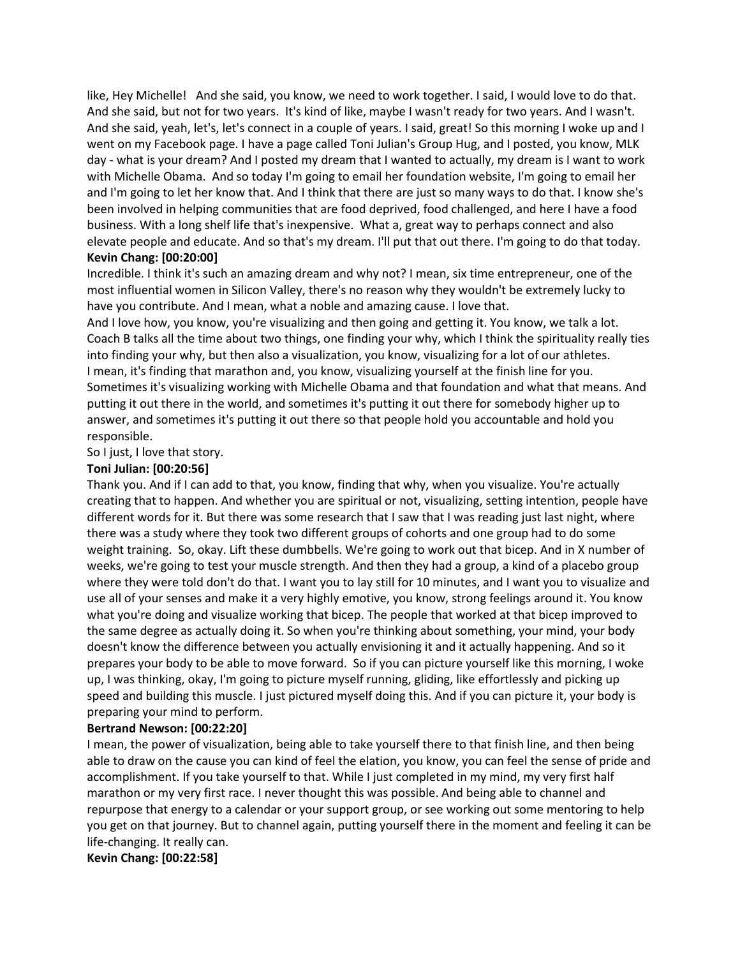like, Hey Michelle! And she said, you know, we need to work together. I said, I would love to do that. And she said, but not for two years. It's kind of like, maybe I wasn't ready for two years. And I wasn't. And she said, yeah, let's, let's connect in a couple of years. I said, great! So this morning I woke up and I went on my Facebook page. I have a page called Toni Julian's Group Hug, and I posted, you know, MLK day - what is your dream? And I posted my dream that I wanted to actually, my dream is I want to work with Michelle Obama. And so today I'm going to email her foundation website, I'm going to email her and I'm going to let her know that. And I think that there are just so many ways to do that. I know she's been involved in helping communities that are food deprived, food challenged, and here I have a food business. With a long shelf life that's inexpensive. What a, great way to perhaps connect and also elevate people and educate. And so that's my dream. I'll put that out there. I'm going to do that today. **Kevin Chang: [00:20:00]**

Incredible. I think it's such an amazing dream and why not? I mean, six time entrepreneur, one of the most influential women in Silicon Valley, there's no reason why they wouldn't be extremely lucky to have you contribute. And I mean, what a noble and amazing cause. I love that.

And I love how, you know, you're visualizing and then going and getting it. You know, we talk a lot. Coach B talks all the time about two things, one finding your why, which I think the spirituality really ties into finding your why, but then also a visualization, you know, visualizing for a lot of our athletes. I mean, it's finding that marathon and, you know, visualizing yourself at the finish line for you. Sometimes it's visualizing working with Michelle Obama and that foundation and what that means. And putting it out there in the world, and sometimes it's putting it out there for somebody higher up to answer, and sometimes it's putting it out there so that people hold you accountable and hold you responsible.

So I just, I love that story.

#### **Toni Julian: [00:20:56]**

Thank you. And if I can add to that, you know, finding that why, when you visualize. You're actually creating that to happen. And whether you are spiritual or not, visualizing, setting intention, people have different words for it. But there was some research that I saw that I was reading just last night, where there was a study where they took two different groups of cohorts and one group had to do some weight training. So, okay. Lift these dumbbells. We're going to work out that bicep. And in X number of weeks, we're going to test your muscle strength. And then they had a group, a kind of a placebo group where they were told don't do that. I want you to lay still for 10 minutes, and I want you to visualize and use all of your senses and make it a very highly emotive, you know, strong feelings around it. You know what you're doing and visualize working that bicep. The people that worked at that bicep improved to the same degree as actually doing it. So when you're thinking about something, your mind, your body doesn't know the difference between you actually envisioning it and it actually happening. And so it prepares your body to be able to move forward. So if you can picture yourself like this morning, I woke up, I was thinking, okay, I'm going to picture myself running, gliding, like effortlessly and picking up speed and building this muscle. I just pictured myself doing this. And if you can picture it, your body is preparing your mind to perform.

#### **Bertrand Newson: [00:22:20]**

I mean, the power of visualization, being able to take yourself there to that finish line, and then being able to draw on the cause you can kind of feel the elation, you know, you can feel the sense of pride and accomplishment. If you take yourself to that. While I just completed in my mind, my very first half marathon or my very first race. I never thought this was possible. And being able to channel and repurpose that energy to a calendar or your support group, or see working out some mentoring to help you get on that journey. But to channel again, putting yourself there in the moment and feeling it can be life-changing. It really can.

**Kevin Chang: [00:22:58]**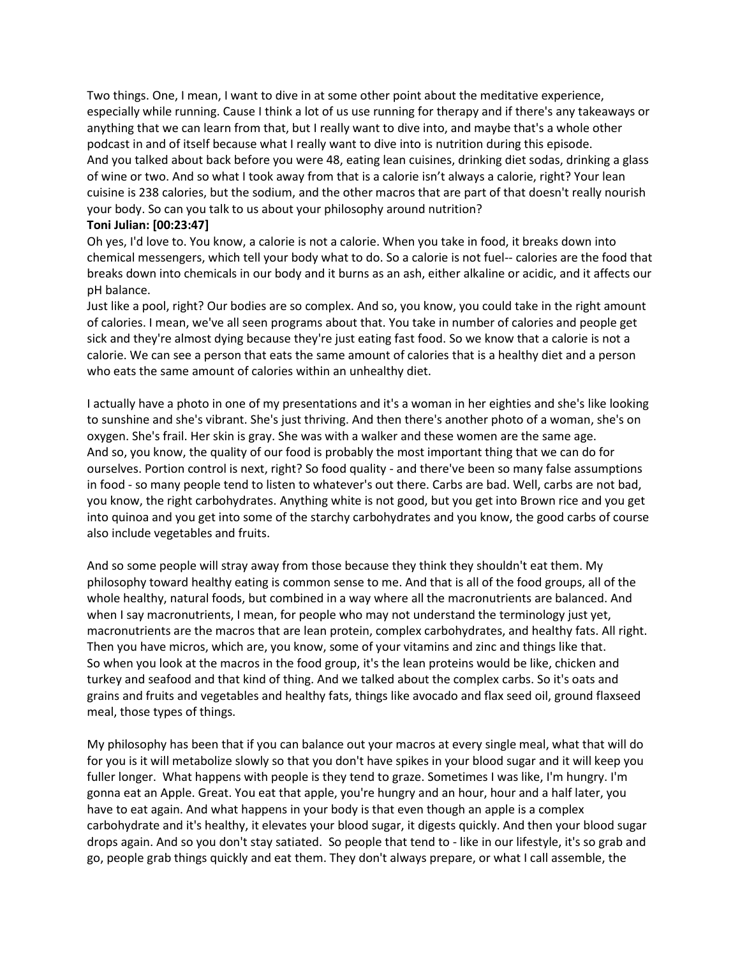Two things. One, I mean, I want to dive in at some other point about the meditative experience, especially while running. Cause I think a lot of us use running for therapy and if there's any takeaways or anything that we can learn from that, but I really want to dive into, and maybe that's a whole other podcast in and of itself because what I really want to dive into is nutrition during this episode. And you talked about back before you were 48, eating lean cuisines, drinking diet sodas, drinking a glass of wine or two. And so what I took away from that is a calorie isn't always a calorie, right? Your lean cuisine is 238 calories, but the sodium, and the other macros that are part of that doesn't really nourish your body. So can you talk to us about your philosophy around nutrition?

#### **Toni Julian: [00:23:47]**

Oh yes, I'd love to. You know, a calorie is not a calorie. When you take in food, it breaks down into chemical messengers, which tell your body what to do. So a calorie is not fuel-- calories are the food that breaks down into chemicals in our body and it burns as an ash, either alkaline or acidic, and it affects our pH balance.

Just like a pool, right? Our bodies are so complex. And so, you know, you could take in the right amount of calories. I mean, we've all seen programs about that. You take in number of calories and people get sick and they're almost dying because they're just eating fast food. So we know that a calorie is not a calorie. We can see a person that eats the same amount of calories that is a healthy diet and a person who eats the same amount of calories within an unhealthy diet.

I actually have a photo in one of my presentations and it's a woman in her eighties and she's like looking to sunshine and she's vibrant. She's just thriving. And then there's another photo of a woman, she's on oxygen. She's frail. Her skin is gray. She was with a walker and these women are the same age. And so, you know, the quality of our food is probably the most important thing that we can do for ourselves. Portion control is next, right? So food quality - and there've been so many false assumptions in food - so many people tend to listen to whatever's out there. Carbs are bad. Well, carbs are not bad, you know, the right carbohydrates. Anything white is not good, but you get into Brown rice and you get into quinoa and you get into some of the starchy carbohydrates and you know, the good carbs of course also include vegetables and fruits.

And so some people will stray away from those because they think they shouldn't eat them. My philosophy toward healthy eating is common sense to me. And that is all of the food groups, all of the whole healthy, natural foods, but combined in a way where all the macronutrients are balanced. And when I say macronutrients, I mean, for people who may not understand the terminology just yet, macronutrients are the macros that are lean protein, complex carbohydrates, and healthy fats. All right. Then you have micros, which are, you know, some of your vitamins and zinc and things like that. So when you look at the macros in the food group, it's the lean proteins would be like, chicken and turkey and seafood and that kind of thing. And we talked about the complex carbs. So it's oats and grains and fruits and vegetables and healthy fats, things like avocado and flax seed oil, ground flaxseed meal, those types of things.

My philosophy has been that if you can balance out your macros at every single meal, what that will do for you is it will metabolize slowly so that you don't have spikes in your blood sugar and it will keep you fuller longer. What happens with people is they tend to graze. Sometimes I was like, I'm hungry. I'm gonna eat an Apple. Great. You eat that apple, you're hungry and an hour, hour and a half later, you have to eat again. And what happens in your body is that even though an apple is a complex carbohydrate and it's healthy, it elevates your blood sugar, it digests quickly. And then your blood sugar drops again. And so you don't stay satiated. So people that tend to - like in our lifestyle, it's so grab and go, people grab things quickly and eat them. They don't always prepare, or what I call assemble, the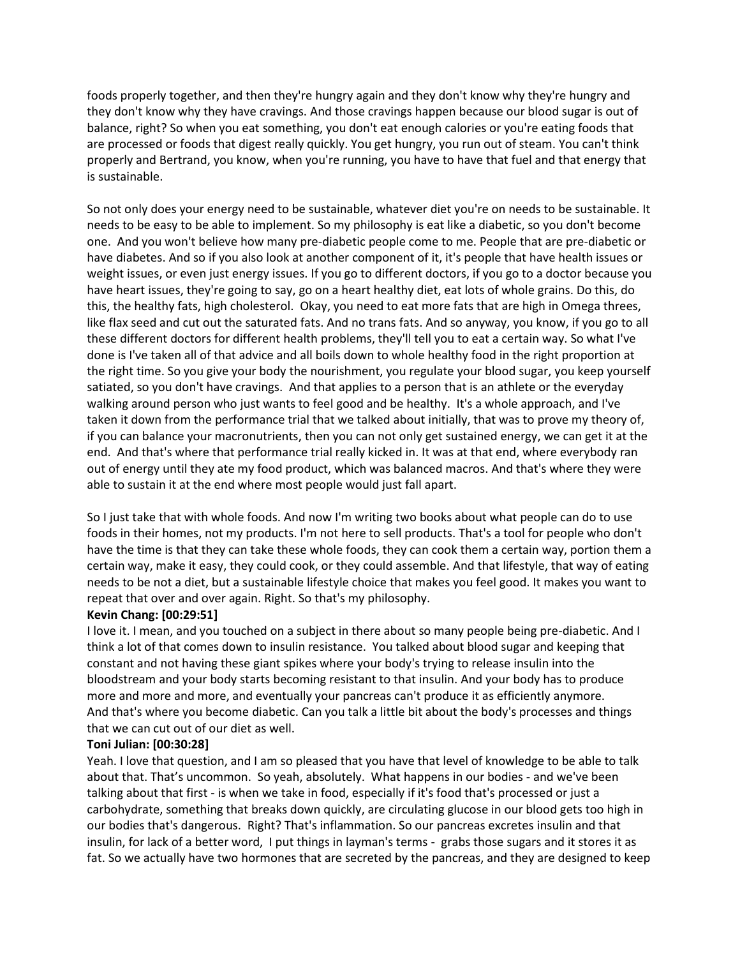foods properly together, and then they're hungry again and they don't know why they're hungry and they don't know why they have cravings. And those cravings happen because our blood sugar is out of balance, right? So when you eat something, you don't eat enough calories or you're eating foods that are processed or foods that digest really quickly. You get hungry, you run out of steam. You can't think properly and Bertrand, you know, when you're running, you have to have that fuel and that energy that is sustainable.

So not only does your energy need to be sustainable, whatever diet you're on needs to be sustainable. It needs to be easy to be able to implement. So my philosophy is eat like a diabetic, so you don't become one. And you won't believe how many pre-diabetic people come to me. People that are pre-diabetic or have diabetes. And so if you also look at another component of it, it's people that have health issues or weight issues, or even just energy issues. If you go to different doctors, if you go to a doctor because you have heart issues, they're going to say, go on a heart healthy diet, eat lots of whole grains. Do this, do this, the healthy fats, high cholesterol. Okay, you need to eat more fats that are high in Omega threes, like flax seed and cut out the saturated fats. And no trans fats. And so anyway, you know, if you go to all these different doctors for different health problems, they'll tell you to eat a certain way. So what I've done is I've taken all of that advice and all boils down to whole healthy food in the right proportion at the right time. So you give your body the nourishment, you regulate your blood sugar, you keep yourself satiated, so you don't have cravings. And that applies to a person that is an athlete or the everyday walking around person who just wants to feel good and be healthy. It's a whole approach, and I've taken it down from the performance trial that we talked about initially, that was to prove my theory of, if you can balance your macronutrients, then you can not only get sustained energy, we can get it at the end. And that's where that performance trial really kicked in. It was at that end, where everybody ran out of energy until they ate my food product, which was balanced macros. And that's where they were able to sustain it at the end where most people would just fall apart.

So I just take that with whole foods. And now I'm writing two books about what people can do to use foods in their homes, not my products. I'm not here to sell products. That's a tool for people who don't have the time is that they can take these whole foods, they can cook them a certain way, portion them a certain way, make it easy, they could cook, or they could assemble. And that lifestyle, that way of eating needs to be not a diet, but a sustainable lifestyle choice that makes you feel good. It makes you want to repeat that over and over again. Right. So that's my philosophy.

### **Kevin Chang: [00:29:51]**

I love it. I mean, and you touched on a subject in there about so many people being pre-diabetic. And I think a lot of that comes down to insulin resistance. You talked about blood sugar and keeping that constant and not having these giant spikes where your body's trying to release insulin into the bloodstream and your body starts becoming resistant to that insulin. And your body has to produce more and more and more, and eventually your pancreas can't produce it as efficiently anymore. And that's where you become diabetic. Can you talk a little bit about the body's processes and things that we can cut out of our diet as well.

### **Toni Julian: [00:30:28]**

Yeah. I love that question, and I am so pleased that you have that level of knowledge to be able to talk about that. That's uncommon. So yeah, absolutely. What happens in our bodies - and we've been talking about that first - is when we take in food, especially if it's food that's processed or just a carbohydrate, something that breaks down quickly, are circulating glucose in our blood gets too high in our bodies that's dangerous. Right? That's inflammation. So our pancreas excretes insulin and that insulin, for lack of a better word, I put things in layman's terms - grabs those sugars and it stores it as fat. So we actually have two hormones that are secreted by the pancreas, and they are designed to keep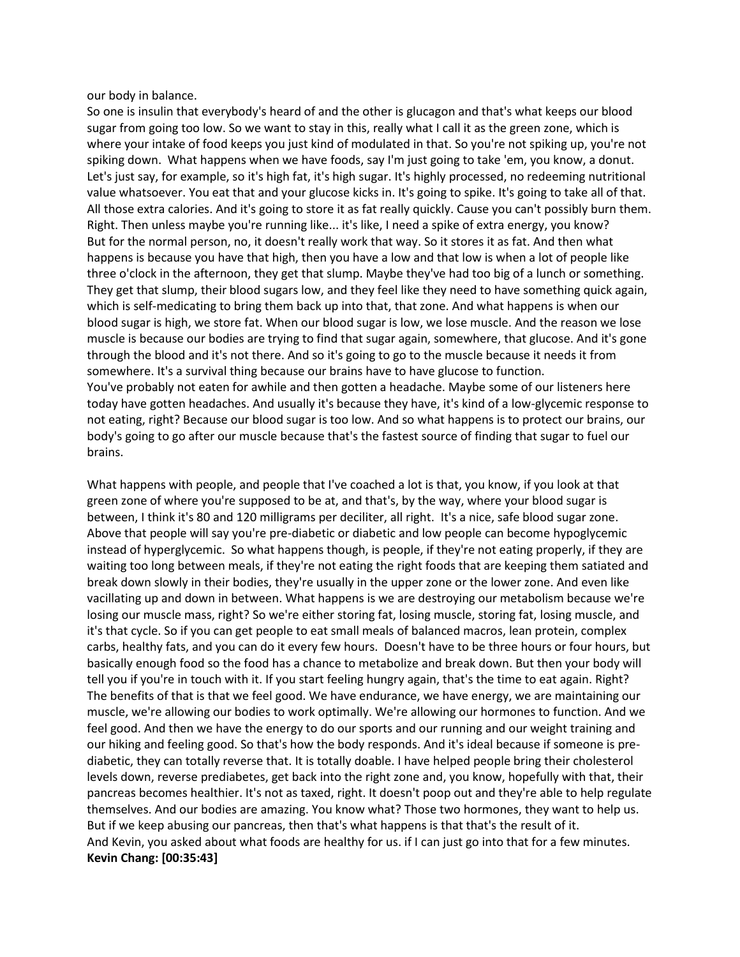our body in balance.

So one is insulin that everybody's heard of and the other is glucagon and that's what keeps our blood sugar from going too low. So we want to stay in this, really what I call it as the green zone, which is where your intake of food keeps you just kind of modulated in that. So you're not spiking up, you're not spiking down. What happens when we have foods, say I'm just going to take 'em, you know, a donut. Let's just say, for example, so it's high fat, it's high sugar. It's highly processed, no redeeming nutritional value whatsoever. You eat that and your glucose kicks in. It's going to spike. It's going to take all of that. All those extra calories. And it's going to store it as fat really quickly. Cause you can't possibly burn them. Right. Then unless maybe you're running like... it's like, I need a spike of extra energy, you know? But for the normal person, no, it doesn't really work that way. So it stores it as fat. And then what happens is because you have that high, then you have a low and that low is when a lot of people like three o'clock in the afternoon, they get that slump. Maybe they've had too big of a lunch or something. They get that slump, their blood sugars low, and they feel like they need to have something quick again, which is self-medicating to bring them back up into that, that zone. And what happens is when our blood sugar is high, we store fat. When our blood sugar is low, we lose muscle. And the reason we lose muscle is because our bodies are trying to find that sugar again, somewhere, that glucose. And it's gone through the blood and it's not there. And so it's going to go to the muscle because it needs it from somewhere. It's a survival thing because our brains have to have glucose to function. You've probably not eaten for awhile and then gotten a headache. Maybe some of our listeners here today have gotten headaches. And usually it's because they have, it's kind of a low-glycemic response to not eating, right? Because our blood sugar is too low. And so what happens is to protect our brains, our body's going to go after our muscle because that's the fastest source of finding that sugar to fuel our brains.

What happens with people, and people that I've coached a lot is that, you know, if you look at that green zone of where you're supposed to be at, and that's, by the way, where your blood sugar is between, I think it's 80 and 120 milligrams per deciliter, all right. It's a nice, safe blood sugar zone. Above that people will say you're pre-diabetic or diabetic and low people can become hypoglycemic instead of hyperglycemic. So what happens though, is people, if they're not eating properly, if they are waiting too long between meals, if they're not eating the right foods that are keeping them satiated and break down slowly in their bodies, they're usually in the upper zone or the lower zone. And even like vacillating up and down in between. What happens is we are destroying our metabolism because we're losing our muscle mass, right? So we're either storing fat, losing muscle, storing fat, losing muscle, and it's that cycle. So if you can get people to eat small meals of balanced macros, lean protein, complex carbs, healthy fats, and you can do it every few hours. Doesn't have to be three hours or four hours, but basically enough food so the food has a chance to metabolize and break down. But then your body will tell you if you're in touch with it. If you start feeling hungry again, that's the time to eat again. Right? The benefits of that is that we feel good. We have endurance, we have energy, we are maintaining our muscle, we're allowing our bodies to work optimally. We're allowing our hormones to function. And we feel good. And then we have the energy to do our sports and our running and our weight training and our hiking and feeling good. So that's how the body responds. And it's ideal because if someone is prediabetic, they can totally reverse that. It is totally doable. I have helped people bring their cholesterol levels down, reverse prediabetes, get back into the right zone and, you know, hopefully with that, their pancreas becomes healthier. It's not as taxed, right. It doesn't poop out and they're able to help regulate themselves. And our bodies are amazing. You know what? Those two hormones, they want to help us. But if we keep abusing our pancreas, then that's what happens is that that's the result of it. And Kevin, you asked about what foods are healthy for us. if I can just go into that for a few minutes. **Kevin Chang: [00:35:43]**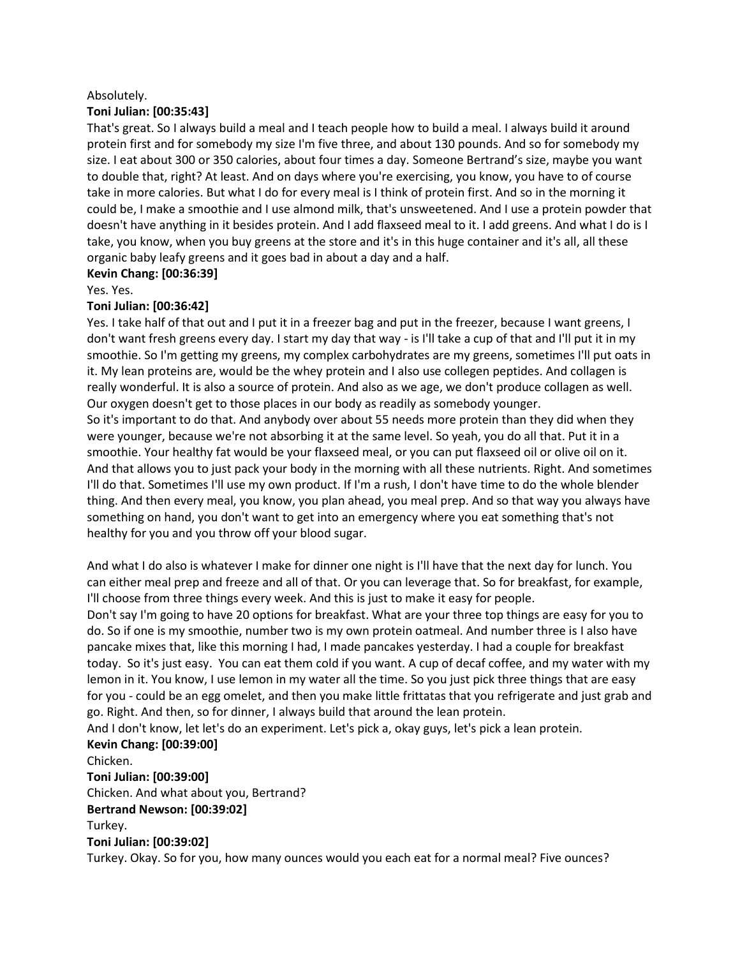#### Absolutely.

#### **Toni Julian: [00:35:43]**

That's great. So I always build a meal and I teach people how to build a meal. I always build it around protein first and for somebody my size I'm five three, and about 130 pounds. And so for somebody my size. I eat about 300 or 350 calories, about four times a day. Someone Bertrand's size, maybe you want to double that, right? At least. And on days where you're exercising, you know, you have to of course take in more calories. But what I do for every meal is I think of protein first. And so in the morning it could be, I make a smoothie and I use almond milk, that's unsweetened. And I use a protein powder that doesn't have anything in it besides protein. And I add flaxseed meal to it. I add greens. And what I do is I take, you know, when you buy greens at the store and it's in this huge container and it's all, all these organic baby leafy greens and it goes bad in about a day and a half.

#### **Kevin Chang: [00:36:39]**

Yes. Yes.

### **Toni Julian: [00:36:42]**

Yes. I take half of that out and I put it in a freezer bag and put in the freezer, because I want greens, I don't want fresh greens every day. I start my day that way - is I'll take a cup of that and I'll put it in my smoothie. So I'm getting my greens, my complex carbohydrates are my greens, sometimes I'll put oats in it. My lean proteins are, would be the whey protein and I also use collegen peptides. And collagen is really wonderful. It is also a source of protein. And also as we age, we don't produce collagen as well. Our oxygen doesn't get to those places in our body as readily as somebody younger.

So it's important to do that. And anybody over about 55 needs more protein than they did when they were younger, because we're not absorbing it at the same level. So yeah, you do all that. Put it in a smoothie. Your healthy fat would be your flaxseed meal, or you can put flaxseed oil or olive oil on it. And that allows you to just pack your body in the morning with all these nutrients. Right. And sometimes I'll do that. Sometimes I'll use my own product. If I'm a rush, I don't have time to do the whole blender thing. And then every meal, you know, you plan ahead, you meal prep. And so that way you always have something on hand, you don't want to get into an emergency where you eat something that's not healthy for you and you throw off your blood sugar.

And what I do also is whatever I make for dinner one night is I'll have that the next day for lunch. You can either meal prep and freeze and all of that. Or you can leverage that. So for breakfast, for example, I'll choose from three things every week. And this is just to make it easy for people.

Don't say I'm going to have 20 options for breakfast. What are your three top things are easy for you to do. So if one is my smoothie, number two is my own protein oatmeal. And number three is I also have pancake mixes that, like this morning I had, I made pancakes yesterday. I had a couple for breakfast today. So it's just easy. You can eat them cold if you want. A cup of decaf coffee, and my water with my lemon in it. You know, I use lemon in my water all the time. So you just pick three things that are easy for you - could be an egg omelet, and then you make little frittatas that you refrigerate and just grab and go. Right. And then, so for dinner, I always build that around the lean protein.

And I don't know, let let's do an experiment. Let's pick a, okay guys, let's pick a lean protein.

# **Kevin Chang: [00:39:00]**

Chicken.

**Toni Julian: [00:39:00]** Chicken. And what about you, Bertrand? **Bertrand Newson: [00:39:02]** Turkey. **Toni Julian: [00:39:02]** Turkey. Okay. So for you, how many ounces would you each eat for a normal meal? Five ounces?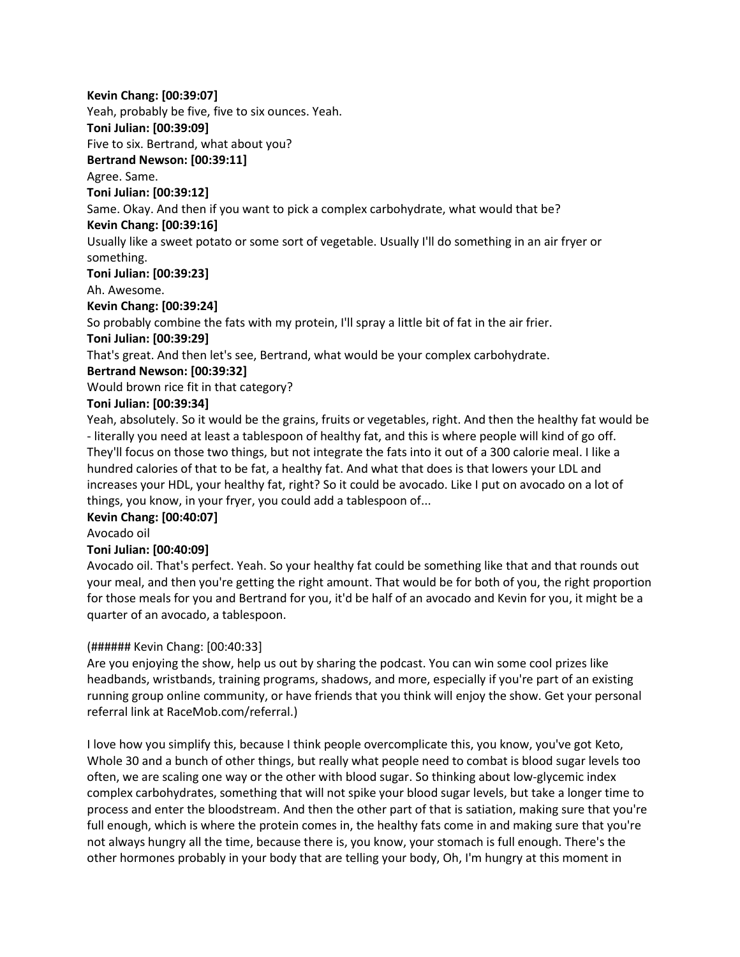### **Kevin Chang: [00:39:07]**

Yeah, probably be five, five to six ounces. Yeah.

### **Toni Julian: [00:39:09]**

Five to six. Bertrand, what about you?

### **Bertrand Newson: [00:39:11]**

Agree. Same.

# **Toni Julian: [00:39:12]**

Same. Okay. And then if you want to pick a complex carbohydrate, what would that be?

# **Kevin Chang: [00:39:16]**

Usually like a sweet potato or some sort of vegetable. Usually I'll do something in an air fryer or something.

# **Toni Julian: [00:39:23]**

Ah. Awesome.

# **Kevin Chang: [00:39:24]**

So probably combine the fats with my protein, I'll spray a little bit of fat in the air frier.

# **Toni Julian: [00:39:29]**

That's great. And then let's see, Bertrand, what would be your complex carbohydrate.

# **Bertrand Newson: [00:39:32]**

Would brown rice fit in that category?

# **Toni Julian: [00:39:34]**

Yeah, absolutely. So it would be the grains, fruits or vegetables, right. And then the healthy fat would be - literally you need at least a tablespoon of healthy fat, and this is where people will kind of go off. They'll focus on those two things, but not integrate the fats into it out of a 300 calorie meal. I like a hundred calories of that to be fat, a healthy fat. And what that does is that lowers your LDL and increases your HDL, your healthy fat, right? So it could be avocado. Like I put on avocado on a lot of things, you know, in your fryer, you could add a tablespoon of...

### **Kevin Chang: [00:40:07]**

Avocado oil

# **Toni Julian: [00:40:09]**

Avocado oil. That's perfect. Yeah. So your healthy fat could be something like that and that rounds out your meal, and then you're getting the right amount. That would be for both of you, the right proportion for those meals for you and Bertrand for you, it'd be half of an avocado and Kevin for you, it might be a quarter of an avocado, a tablespoon.

### (###### Kevin Chang: [00:40:33]

Are you enjoying the show, help us out by sharing the podcast. You can win some cool prizes like headbands, wristbands, training programs, shadows, and more, especially if you're part of an existing running group online community, or have friends that you think will enjoy the show. Get your personal referral link at RaceMob.com/referral.)

I love how you simplify this, because I think people overcomplicate this, you know, you've got Keto, Whole 30 and a bunch of other things, but really what people need to combat is blood sugar levels too often, we are scaling one way or the other with blood sugar. So thinking about low-glycemic index complex carbohydrates, something that will not spike your blood sugar levels, but take a longer time to process and enter the bloodstream. And then the other part of that is satiation, making sure that you're full enough, which is where the protein comes in, the healthy fats come in and making sure that you're not always hungry all the time, because there is, you know, your stomach is full enough. There's the other hormones probably in your body that are telling your body, Oh, I'm hungry at this moment in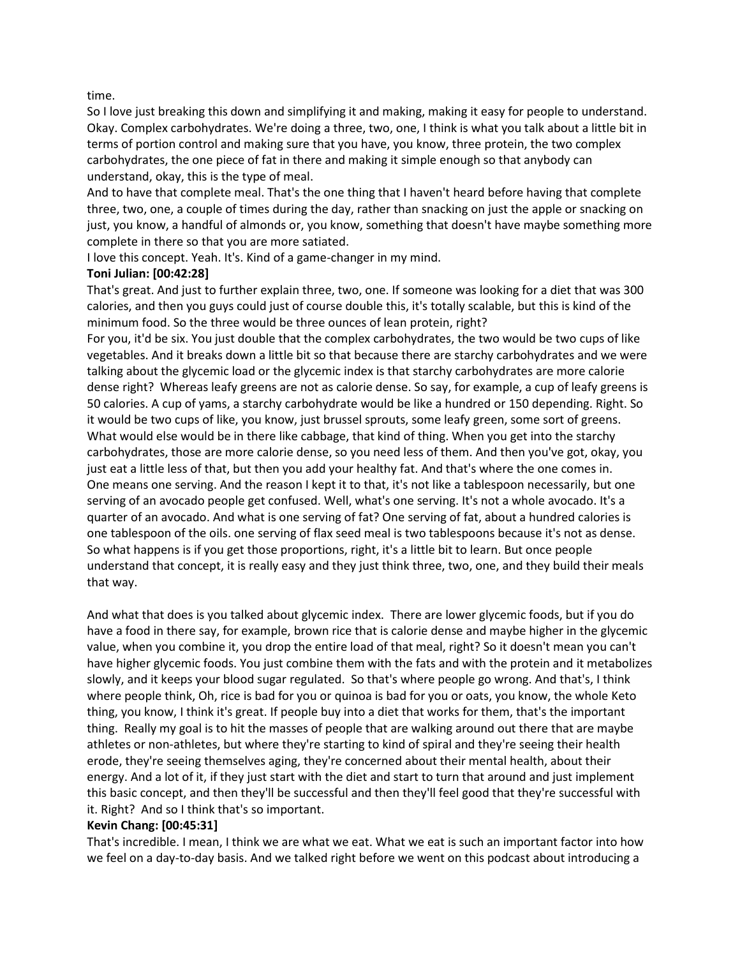time.

So I love just breaking this down and simplifying it and making, making it easy for people to understand. Okay. Complex carbohydrates. We're doing a three, two, one, I think is what you talk about a little bit in terms of portion control and making sure that you have, you know, three protein, the two complex carbohydrates, the one piece of fat in there and making it simple enough so that anybody can understand, okay, this is the type of meal.

And to have that complete meal. That's the one thing that I haven't heard before having that complete three, two, one, a couple of times during the day, rather than snacking on just the apple or snacking on just, you know, a handful of almonds or, you know, something that doesn't have maybe something more complete in there so that you are more satiated.

I love this concept. Yeah. It's. Kind of a game-changer in my mind.

### **Toni Julian: [00:42:28]**

That's great. And just to further explain three, two, one. If someone was looking for a diet that was 300 calories, and then you guys could just of course double this, it's totally scalable, but this is kind of the minimum food. So the three would be three ounces of lean protein, right?

For you, it'd be six. You just double that the complex carbohydrates, the two would be two cups of like vegetables. And it breaks down a little bit so that because there are starchy carbohydrates and we were talking about the glycemic load or the glycemic index is that starchy carbohydrates are more calorie dense right? Whereas leafy greens are not as calorie dense. So say, for example, a cup of leafy greens is 50 calories. A cup of yams, a starchy carbohydrate would be like a hundred or 150 depending. Right. So it would be two cups of like, you know, just brussel sprouts, some leafy green, some sort of greens. What would else would be in there like cabbage, that kind of thing. When you get into the starchy carbohydrates, those are more calorie dense, so you need less of them. And then you've got, okay, you just eat a little less of that, but then you add your healthy fat. And that's where the one comes in. One means one serving. And the reason I kept it to that, it's not like a tablespoon necessarily, but one serving of an avocado people get confused. Well, what's one serving. It's not a whole avocado. It's a quarter of an avocado. And what is one serving of fat? One serving of fat, about a hundred calories is one tablespoon of the oils. one serving of flax seed meal is two tablespoons because it's not as dense. So what happens is if you get those proportions, right, it's a little bit to learn. But once people understand that concept, it is really easy and they just think three, two, one, and they build their meals that way.

And what that does is you talked about glycemic index. There are lower glycemic foods, but if you do have a food in there say, for example, brown rice that is calorie dense and maybe higher in the glycemic value, when you combine it, you drop the entire load of that meal, right? So it doesn't mean you can't have higher glycemic foods. You just combine them with the fats and with the protein and it metabolizes slowly, and it keeps your blood sugar regulated. So that's where people go wrong. And that's, I think where people think, Oh, rice is bad for you or quinoa is bad for you or oats, you know, the whole Keto thing, you know, I think it's great. If people buy into a diet that works for them, that's the important thing. Really my goal is to hit the masses of people that are walking around out there that are maybe athletes or non-athletes, but where they're starting to kind of spiral and they're seeing their health erode, they're seeing themselves aging, they're concerned about their mental health, about their energy. And a lot of it, if they just start with the diet and start to turn that around and just implement this basic concept, and then they'll be successful and then they'll feel good that they're successful with it. Right? And so I think that's so important.

### **Kevin Chang: [00:45:31]**

That's incredible. I mean, I think we are what we eat. What we eat is such an important factor into how we feel on a day-to-day basis. And we talked right before we went on this podcast about introducing a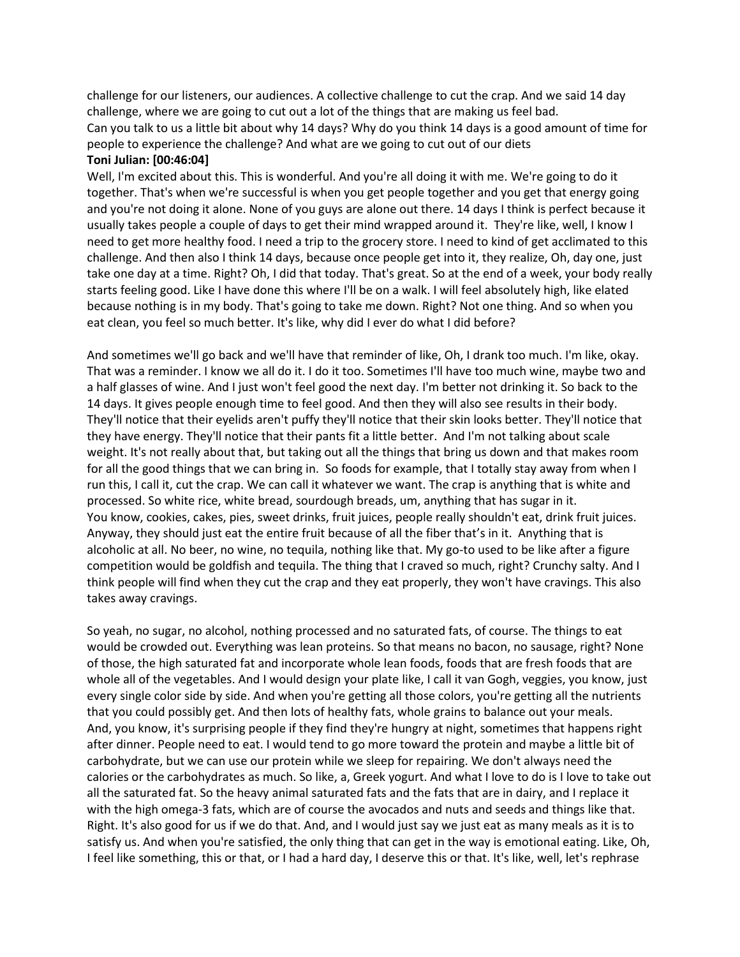challenge for our listeners, our audiences. A collective challenge to cut the crap. And we said 14 day challenge, where we are going to cut out a lot of the things that are making us feel bad. Can you talk to us a little bit about why 14 days? Why do you think 14 days is a good amount of time for people to experience the challenge? And what are we going to cut out of our diets **Toni Julian: [00:46:04]**

Well, I'm excited about this. This is wonderful. And you're all doing it with me. We're going to do it together. That's when we're successful is when you get people together and you get that energy going and you're not doing it alone. None of you guys are alone out there. 14 days I think is perfect because it usually takes people a couple of days to get their mind wrapped around it. They're like, well, I know I need to get more healthy food. I need a trip to the grocery store. I need to kind of get acclimated to this challenge. And then also I think 14 days, because once people get into it, they realize, Oh, day one, just take one day at a time. Right? Oh, I did that today. That's great. So at the end of a week, your body really starts feeling good. Like I have done this where I'll be on a walk. I will feel absolutely high, like elated because nothing is in my body. That's going to take me down. Right? Not one thing. And so when you eat clean, you feel so much better. It's like, why did I ever do what I did before?

And sometimes we'll go back and we'll have that reminder of like, Oh, I drank too much. I'm like, okay. That was a reminder. I know we all do it. I do it too. Sometimes I'll have too much wine, maybe two and a half glasses of wine. And I just won't feel good the next day. I'm better not drinking it. So back to the 14 days. It gives people enough time to feel good. And then they will also see results in their body. They'll notice that their eyelids aren't puffy they'll notice that their skin looks better. They'll notice that they have energy. They'll notice that their pants fit a little better. And I'm not talking about scale weight. It's not really about that, but taking out all the things that bring us down and that makes room for all the good things that we can bring in. So foods for example, that I totally stay away from when I run this, I call it, cut the crap. We can call it whatever we want. The crap is anything that is white and processed. So white rice, white bread, sourdough breads, um, anything that has sugar in it. You know, cookies, cakes, pies, sweet drinks, fruit juices, people really shouldn't eat, drink fruit juices. Anyway, they should just eat the entire fruit because of all the fiber that's in it. Anything that is alcoholic at all. No beer, no wine, no tequila, nothing like that. My go-to used to be like after a figure competition would be goldfish and tequila. The thing that I craved so much, right? Crunchy salty. And I think people will find when they cut the crap and they eat properly, they won't have cravings. This also takes away cravings.

So yeah, no sugar, no alcohol, nothing processed and no saturated fats, of course. The things to eat would be crowded out. Everything was lean proteins. So that means no bacon, no sausage, right? None of those, the high saturated fat and incorporate whole lean foods, foods that are fresh foods that are whole all of the vegetables. And I would design your plate like, I call it van Gogh, veggies, you know, just every single color side by side. And when you're getting all those colors, you're getting all the nutrients that you could possibly get. And then lots of healthy fats, whole grains to balance out your meals. And, you know, it's surprising people if they find they're hungry at night, sometimes that happens right after dinner. People need to eat. I would tend to go more toward the protein and maybe a little bit of carbohydrate, but we can use our protein while we sleep for repairing. We don't always need the calories or the carbohydrates as much. So like, a, Greek yogurt. And what I love to do is I love to take out all the saturated fat. So the heavy animal saturated fats and the fats that are in dairy, and I replace it with the high omega-3 fats, which are of course the avocados and nuts and seeds and things like that. Right. It's also good for us if we do that. And, and I would just say we just eat as many meals as it is to satisfy us. And when you're satisfied, the only thing that can get in the way is emotional eating. Like, Oh, I feel like something, this or that, or I had a hard day, I deserve this or that. It's like, well, let's rephrase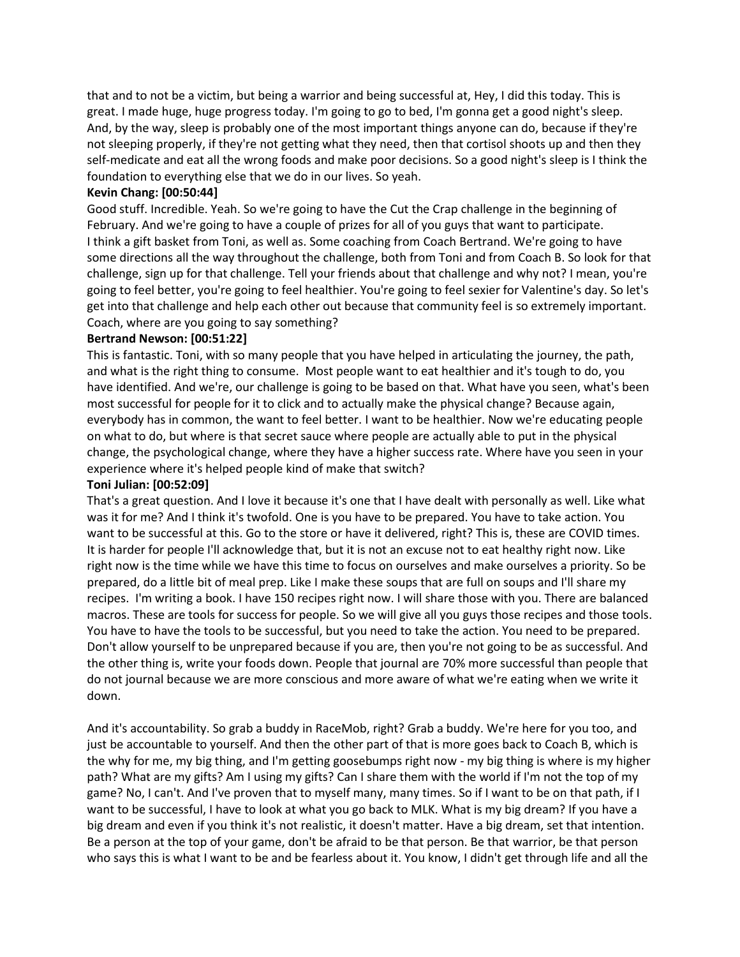that and to not be a victim, but being a warrior and being successful at, Hey, I did this today. This is great. I made huge, huge progress today. I'm going to go to bed, I'm gonna get a good night's sleep. And, by the way, sleep is probably one of the most important things anyone can do, because if they're not sleeping properly, if they're not getting what they need, then that cortisol shoots up and then they self-medicate and eat all the wrong foods and make poor decisions. So a good night's sleep is I think the foundation to everything else that we do in our lives. So yeah.

#### **Kevin Chang: [00:50:44]**

Good stuff. Incredible. Yeah. So we're going to have the Cut the Crap challenge in the beginning of February. And we're going to have a couple of prizes for all of you guys that want to participate. I think a gift basket from Toni, as well as. Some coaching from Coach Bertrand. We're going to have some directions all the way throughout the challenge, both from Toni and from Coach B. So look for that challenge, sign up for that challenge. Tell your friends about that challenge and why not? I mean, you're going to feel better, you're going to feel healthier. You're going to feel sexier for Valentine's day. So let's get into that challenge and help each other out because that community feel is so extremely important. Coach, where are you going to say something?

#### **Bertrand Newson: [00:51:22]**

This is fantastic. Toni, with so many people that you have helped in articulating the journey, the path, and what is the right thing to consume. Most people want to eat healthier and it's tough to do, you have identified. And we're, our challenge is going to be based on that. What have you seen, what's been most successful for people for it to click and to actually make the physical change? Because again, everybody has in common, the want to feel better. I want to be healthier. Now we're educating people on what to do, but where is that secret sauce where people are actually able to put in the physical change, the psychological change, where they have a higher success rate. Where have you seen in your experience where it's helped people kind of make that switch?

#### **Toni Julian: [00:52:09]**

That's a great question. And I love it because it's one that I have dealt with personally as well. Like what was it for me? And I think it's twofold. One is you have to be prepared. You have to take action. You want to be successful at this. Go to the store or have it delivered, right? This is, these are COVID times. It is harder for people I'll acknowledge that, but it is not an excuse not to eat healthy right now. Like right now is the time while we have this time to focus on ourselves and make ourselves a priority. So be prepared, do a little bit of meal prep. Like I make these soups that are full on soups and I'll share my recipes. I'm writing a book. I have 150 recipes right now. I will share those with you. There are balanced macros. These are tools for success for people. So we will give all you guys those recipes and those tools. You have to have the tools to be successful, but you need to take the action. You need to be prepared. Don't allow yourself to be unprepared because if you are, then you're not going to be as successful. And the other thing is, write your foods down. People that journal are 70% more successful than people that do not journal because we are more conscious and more aware of what we're eating when we write it down.

And it's accountability. So grab a buddy in RaceMob, right? Grab a buddy. We're here for you too, and just be accountable to yourself. And then the other part of that is more goes back to Coach B, which is the why for me, my big thing, and I'm getting goosebumps right now - my big thing is where is my higher path? What are my gifts? Am I using my gifts? Can I share them with the world if I'm not the top of my game? No, I can't. And I've proven that to myself many, many times. So if I want to be on that path, if I want to be successful, I have to look at what you go back to MLK. What is my big dream? If you have a big dream and even if you think it's not realistic, it doesn't matter. Have a big dream, set that intention. Be a person at the top of your game, don't be afraid to be that person. Be that warrior, be that person who says this is what I want to be and be fearless about it. You know, I didn't get through life and all the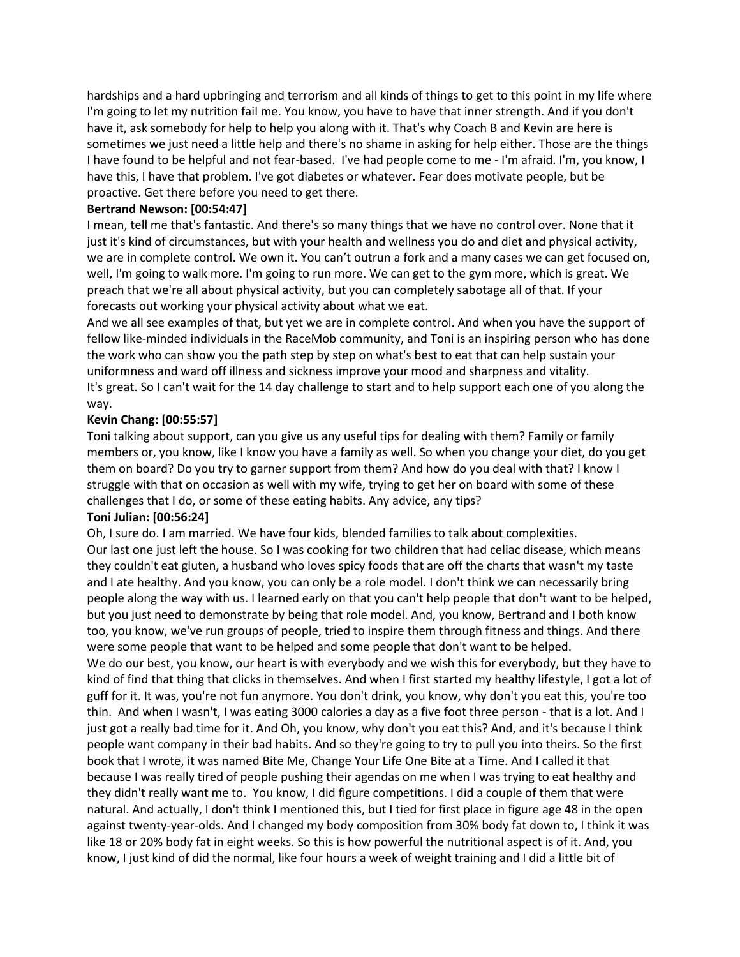hardships and a hard upbringing and terrorism and all kinds of things to get to this point in my life where I'm going to let my nutrition fail me. You know, you have to have that inner strength. And if you don't have it, ask somebody for help to help you along with it. That's why Coach B and Kevin are here is sometimes we just need a little help and there's no shame in asking for help either. Those are the things I have found to be helpful and not fear-based. I've had people come to me - I'm afraid. I'm, you know, I have this, I have that problem. I've got diabetes or whatever. Fear does motivate people, but be proactive. Get there before you need to get there.

### **Bertrand Newson: [00:54:47]**

I mean, tell me that's fantastic. And there's so many things that we have no control over. None that it just it's kind of circumstances, but with your health and wellness you do and diet and physical activity, we are in complete control. We own it. You can't outrun a fork and a many cases we can get focused on, well, I'm going to walk more. I'm going to run more. We can get to the gym more, which is great. We preach that we're all about physical activity, but you can completely sabotage all of that. If your forecasts out working your physical activity about what we eat.

And we all see examples of that, but yet we are in complete control. And when you have the support of fellow like-minded individuals in the RaceMob community, and Toni is an inspiring person who has done the work who can show you the path step by step on what's best to eat that can help sustain your uniformness and ward off illness and sickness improve your mood and sharpness and vitality. It's great. So I can't wait for the 14 day challenge to start and to help support each one of you along the way.

# **Kevin Chang: [00:55:57]**

Toni talking about support, can you give us any useful tips for dealing with them? Family or family members or, you know, like I know you have a family as well. So when you change your diet, do you get them on board? Do you try to garner support from them? And how do you deal with that? I know I struggle with that on occasion as well with my wife, trying to get her on board with some of these challenges that I do, or some of these eating habits. Any advice, any tips?

### **Toni Julian: [00:56:24]**

Oh, I sure do. I am married. We have four kids, blended families to talk about complexities. Our last one just left the house. So I was cooking for two children that had celiac disease, which means they couldn't eat gluten, a husband who loves spicy foods that are off the charts that wasn't my taste and I ate healthy. And you know, you can only be a role model. I don't think we can necessarily bring people along the way with us. I learned early on that you can't help people that don't want to be helped, but you just need to demonstrate by being that role model. And, you know, Bertrand and I both know too, you know, we've run groups of people, tried to inspire them through fitness and things. And there were some people that want to be helped and some people that don't want to be helped.

We do our best, you know, our heart is with everybody and we wish this for everybody, but they have to kind of find that thing that clicks in themselves. And when I first started my healthy lifestyle, I got a lot of guff for it. It was, you're not fun anymore. You don't drink, you know, why don't you eat this, you're too thin. And when I wasn't, I was eating 3000 calories a day as a five foot three person - that is a lot. And I just got a really bad time for it. And Oh, you know, why don't you eat this? And, and it's because I think people want company in their bad habits. And so they're going to try to pull you into theirs. So the first book that I wrote, it was named Bite Me, Change Your Life One Bite at a Time. And I called it that because I was really tired of people pushing their agendas on me when I was trying to eat healthy and they didn't really want me to. You know, I did figure competitions. I did a couple of them that were natural. And actually, I don't think I mentioned this, but I tied for first place in figure age 48 in the open against twenty-year-olds. And I changed my body composition from 30% body fat down to, I think it was like 18 or 20% body fat in eight weeks. So this is how powerful the nutritional aspect is of it. And, you know, I just kind of did the normal, like four hours a week of weight training and I did a little bit of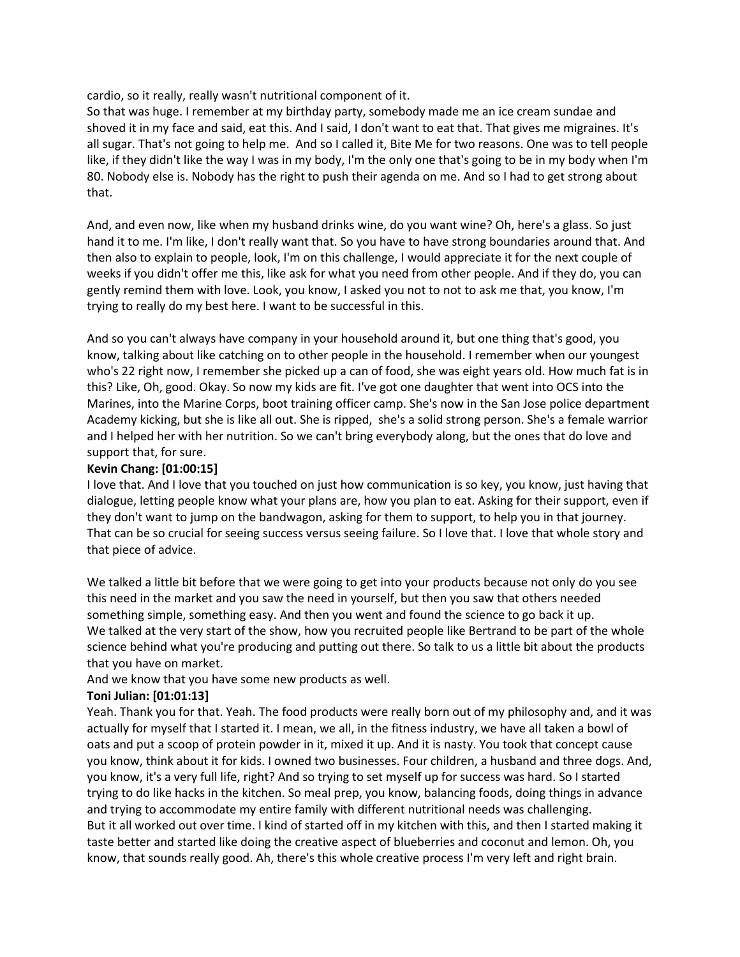cardio, so it really, really wasn't nutritional component of it.

So that was huge. I remember at my birthday party, somebody made me an ice cream sundae and shoved it in my face and said, eat this. And I said, I don't want to eat that. That gives me migraines. It's all sugar. That's not going to help me. And so I called it, Bite Me for two reasons. One was to tell people like, if they didn't like the way I was in my body, I'm the only one that's going to be in my body when I'm 80. Nobody else is. Nobody has the right to push their agenda on me. And so I had to get strong about that.

And, and even now, like when my husband drinks wine, do you want wine? Oh, here's a glass. So just hand it to me. I'm like, I don't really want that. So you have to have strong boundaries around that. And then also to explain to people, look, I'm on this challenge, I would appreciate it for the next couple of weeks if you didn't offer me this, like ask for what you need from other people. And if they do, you can gently remind them with love. Look, you know, I asked you not to not to ask me that, you know, I'm trying to really do my best here. I want to be successful in this.

And so you can't always have company in your household around it, but one thing that's good, you know, talking about like catching on to other people in the household. I remember when our youngest who's 22 right now, I remember she picked up a can of food, she was eight years old. How much fat is in this? Like, Oh, good. Okay. So now my kids are fit. I've got one daughter that went into OCS into the Marines, into the Marine Corps, boot training officer camp. She's now in the San Jose police department Academy kicking, but she is like all out. She is ripped, she's a solid strong person. She's a female warrior and I helped her with her nutrition. So we can't bring everybody along, but the ones that do love and support that, for sure.

#### **Kevin Chang: [01:00:15]**

I love that. And I love that you touched on just how communication is so key, you know, just having that dialogue, letting people know what your plans are, how you plan to eat. Asking for their support, even if they don't want to jump on the bandwagon, asking for them to support, to help you in that journey. That can be so crucial for seeing success versus seeing failure. So I love that. I love that whole story and that piece of advice.

We talked a little bit before that we were going to get into your products because not only do you see this need in the market and you saw the need in yourself, but then you saw that others needed something simple, something easy. And then you went and found the science to go back it up. We talked at the very start of the show, how you recruited people like Bertrand to be part of the whole science behind what you're producing and putting out there. So talk to us a little bit about the products that you have on market.

And we know that you have some new products as well.

### **Toni Julian: [01:01:13]**

Yeah. Thank you for that. Yeah. The food products were really born out of my philosophy and, and it was actually for myself that I started it. I mean, we all, in the fitness industry, we have all taken a bowl of oats and put a scoop of protein powder in it, mixed it up. And it is nasty. You took that concept cause you know, think about it for kids. I owned two businesses. Four children, a husband and three dogs. And, you know, it's a very full life, right? And so trying to set myself up for success was hard. So I started trying to do like hacks in the kitchen. So meal prep, you know, balancing foods, doing things in advance and trying to accommodate my entire family with different nutritional needs was challenging. But it all worked out over time. I kind of started off in my kitchen with this, and then I started making it taste better and started like doing the creative aspect of blueberries and coconut and lemon. Oh, you know, that sounds really good. Ah, there's this whole creative process I'm very left and right brain.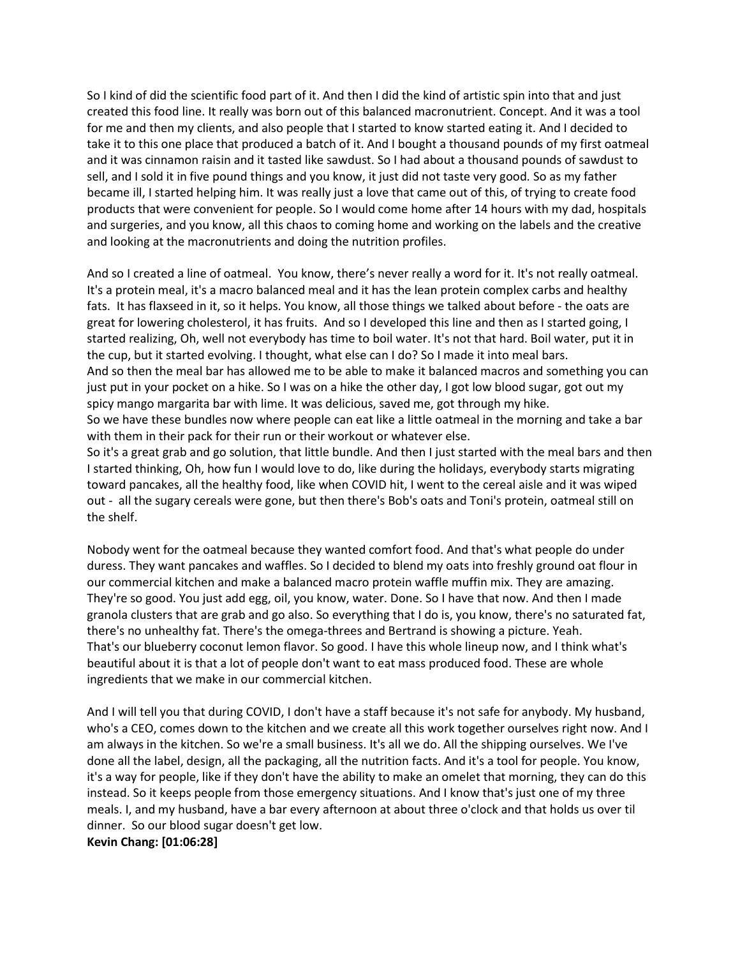So I kind of did the scientific food part of it. And then I did the kind of artistic spin into that and just created this food line. It really was born out of this balanced macronutrient. Concept. And it was a tool for me and then my clients, and also people that I started to know started eating it. And I decided to take it to this one place that produced a batch of it. And I bought a thousand pounds of my first oatmeal and it was cinnamon raisin and it tasted like sawdust. So I had about a thousand pounds of sawdust to sell, and I sold it in five pound things and you know, it just did not taste very good. So as my father became ill, I started helping him. It was really just a love that came out of this, of trying to create food products that were convenient for people. So I would come home after 14 hours with my dad, hospitals and surgeries, and you know, all this chaos to coming home and working on the labels and the creative and looking at the macronutrients and doing the nutrition profiles.

And so I created a line of oatmeal. You know, there's never really a word for it. It's not really oatmeal. It's a protein meal, it's a macro balanced meal and it has the lean protein complex carbs and healthy fats. It has flaxseed in it, so it helps. You know, all those things we talked about before - the oats are great for lowering cholesterol, it has fruits. And so I developed this line and then as I started going, I started realizing, Oh, well not everybody has time to boil water. It's not that hard. Boil water, put it in the cup, but it started evolving. I thought, what else can I do? So I made it into meal bars. And so then the meal bar has allowed me to be able to make it balanced macros and something you can just put in your pocket on a hike. So I was on a hike the other day, I got low blood sugar, got out my spicy mango margarita bar with lime. It was delicious, saved me, got through my hike. So we have these bundles now where people can eat like a little oatmeal in the morning and take a bar

with them in their pack for their run or their workout or whatever else. So it's a great grab and go solution, that little bundle. And then I just started with the meal bars and then

I started thinking, Oh, how fun I would love to do, like during the holidays, everybody starts migrating toward pancakes, all the healthy food, like when COVID hit, I went to the cereal aisle and it was wiped out - all the sugary cereals were gone, but then there's Bob's oats and Toni's protein, oatmeal still on the shelf.

Nobody went for the oatmeal because they wanted comfort food. And that's what people do under duress. They want pancakes and waffles. So I decided to blend my oats into freshly ground oat flour in our commercial kitchen and make a balanced macro protein waffle muffin mix. They are amazing. They're so good. You just add egg, oil, you know, water. Done. So I have that now. And then I made granola clusters that are grab and go also. So everything that I do is, you know, there's no saturated fat, there's no unhealthy fat. There's the omega-threes and Bertrand is showing a picture. Yeah. That's our blueberry coconut lemon flavor. So good. I have this whole lineup now, and I think what's beautiful about it is that a lot of people don't want to eat mass produced food. These are whole ingredients that we make in our commercial kitchen.

And I will tell you that during COVID, I don't have a staff because it's not safe for anybody. My husband, who's a CEO, comes down to the kitchen and we create all this work together ourselves right now. And I am always in the kitchen. So we're a small business. It's all we do. All the shipping ourselves. We I've done all the label, design, all the packaging, all the nutrition facts. And it's a tool for people. You know, it's a way for people, like if they don't have the ability to make an omelet that morning, they can do this instead. So it keeps people from those emergency situations. And I know that's just one of my three meals. I, and my husband, have a bar every afternoon at about three o'clock and that holds us over til dinner. So our blood sugar doesn't get low.

**Kevin Chang: [01:06:28]**